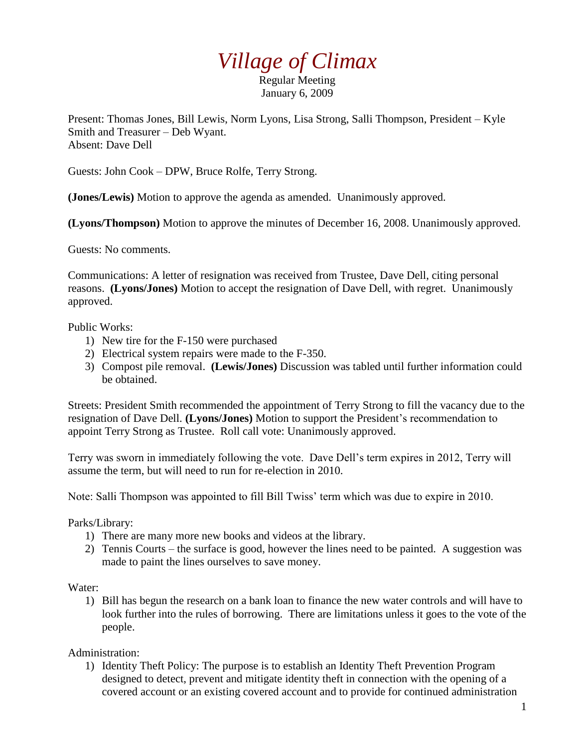## *Village of Climax*

Regular Meeting January 6, 2009

Present: Thomas Jones, Bill Lewis, Norm Lyons, Lisa Strong, Salli Thompson, President – Kyle Smith and Treasurer – Deb Wyant. Absent: Dave Dell

Guests: John Cook – DPW, Bruce Rolfe, Terry Strong.

**(Jones/Lewis)** Motion to approve the agenda as amended. Unanimously approved.

**(Lyons/Thompson)** Motion to approve the minutes of December 16, 2008. Unanimously approved.

Guests: No comments.

Communications: A letter of resignation was received from Trustee, Dave Dell, citing personal reasons. **(Lyons/Jones)** Motion to accept the resignation of Dave Dell, with regret. Unanimously approved.

Public Works:

- 1) New tire for the F-150 were purchased
- 2) Electrical system repairs were made to the F-350.
- 3) Compost pile removal. **(Lewis/Jones)** Discussion was tabled until further information could be obtained.

Streets: President Smith recommended the appointment of Terry Strong to fill the vacancy due to the resignation of Dave Dell. **(Lyons/Jones)** Motion to support the President's recommendation to appoint Terry Strong as Trustee. Roll call vote: Unanimously approved.

Terry was sworn in immediately following the vote. Dave Dell's term expires in 2012, Terry will assume the term, but will need to run for re-election in 2010.

Note: Salli Thompson was appointed to fill Bill Twiss' term which was due to expire in 2010.

Parks/Library:

- 1) There are many more new books and videos at the library.
- 2) Tennis Courts the surface is good, however the lines need to be painted. A suggestion was made to paint the lines ourselves to save money.

Water:

1) Bill has begun the research on a bank loan to finance the new water controls and will have to look further into the rules of borrowing. There are limitations unless it goes to the vote of the people.

Administration:

1) Identity Theft Policy: The purpose is to establish an Identity Theft Prevention Program designed to detect, prevent and mitigate identity theft in connection with the opening of a covered account or an existing covered account and to provide for continued administration